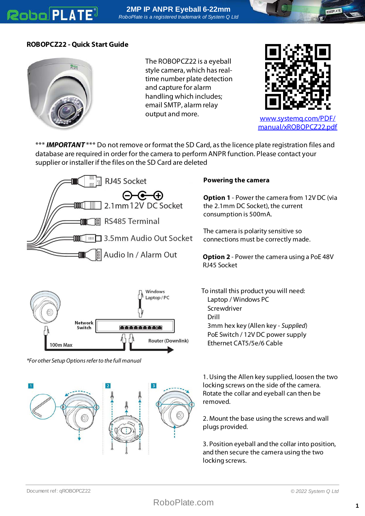## **Robo PLATE**



The ROBOPCZ22 is a eyeball style camera, which has realtime number plate detection and capture for alarm handling which includes; email SMTP, alarm relay output and more. [www.systemq.com/PDF/](http://www.systemq.com/PDF/manual/xROBOPCZ22.pdf)



[manual/xROBOPCZ22.pdf](http://www.systemq.com/PDF/manual/xROBOPCZ22.pdf)

\*\*\* **IMPORTANT** \*\*\* Do not remove or format the SD Card, as the licence plate registration files and database are required in order for the camera to perform ANPR function. Please contact your supplier or installer if the files on the SD Card are deleted





\*For other Setup Options refer to the full manual



## **Powering the camera**

**Option 1** - Power the camera from 12V DC (via the 2.1mm DC Socket), the current consumption is 500mA.

The camera is polarity sensitive so connections must be correctly made.

**Option 2** - Power the camera using a PoE 48V RJ45 Socket

To install this product you will need: Laptop / Windows PC Screwdriver Drill 3mm hex key (Allen key - Supplied) PoE Switch / 12V DC power supply Ethernet CAT5/5e/6 Cable

1. Using the Allen key supplied, loosen the two locking screws on the side of the camera. Rotate the collar and eyeball can then be removed.

2. Mount the base using the screws and wall plugs provided.

3. Position eyeball and the collar into position, and then secure the camera using the two locking screws.